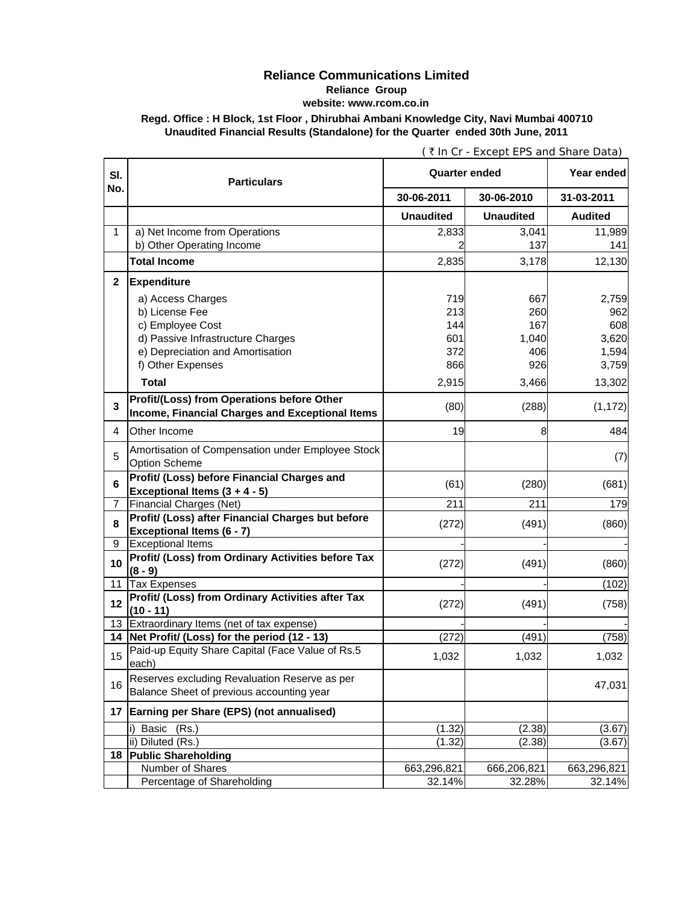## **Reliance Communications Limited Reliance Group website: www.rcom.co.in**

**Regd. Office : H Block, 1st Floor , Dhirubhai Ambani Knowledge City, Navi Mumbai 400710 Unaudited Financial Results (Standalone) for the Quarter ended 30th June, 2011**

| SI.          | <b>Particulars</b>                                                                            | <b>Quarter ended</b> |                  | Year ended     |
|--------------|-----------------------------------------------------------------------------------------------|----------------------|------------------|----------------|
| No.          |                                                                                               | 30-06-2011           | 30-06-2010       | 31-03-2011     |
|              |                                                                                               | <b>Unaudited</b>     | <b>Unaudited</b> | <b>Audited</b> |
| $\mathbf{1}$ | a) Net Income from Operations                                                                 | 2,833                | 3,041            | 11,989         |
|              | b) Other Operating Income                                                                     |                      | 137              | 141            |
|              | <b>Total Income</b>                                                                           | 2,835                | 3,178            | 12,130         |
| $\mathbf{2}$ | <b>Expenditure</b>                                                                            |                      |                  |                |
|              | a) Access Charges                                                                             | 719                  | 667              | 2,759          |
|              | b) License Fee                                                                                | 213                  | 260              | 962            |
|              | c) Employee Cost                                                                              | 144                  | 167              | 608            |
|              | d) Passive Infrastructure Charges                                                             | 601                  | 1,040            | 3,620          |
|              | e) Depreciation and Amortisation                                                              | 372                  | 406              | 1,594          |
|              | f) Other Expenses                                                                             | 866                  | 926              | 3,759          |
|              | <b>Total</b>                                                                                  | 2,915                | 3,466            | 13,302         |
| 3            | Profit/(Loss) from Operations before Other<br>Income, Financial Charges and Exceptional Items | (80)                 | (288)            | (1, 172)       |
| 4            | Other Income                                                                                  | 19                   | 8                | 484            |
| 5            | Amortisation of Compensation under Employee Stock<br><b>Option Scheme</b>                     |                      |                  | (7)            |
| 6            | Profit/ (Loss) before Financial Charges and<br>Exceptional Items $(3 + 4 - 5)$                | (61)                 | (280)            | (681)          |
| 7            | <b>Financial Charges (Net)</b>                                                                | 211                  | 211              | 179            |
|              | Profit/ (Loss) after Financial Charges but before                                             |                      |                  |                |
| 8            | Exceptional Items (6 - 7)                                                                     | (272)                | (491)            | (860)          |
| 9            | <b>Exceptional Items</b>                                                                      |                      |                  |                |
| 10           | Profit/ (Loss) from Ordinary Activities before Tax<br>$(8 - 9)$                               | (272)                | (491)            | (860)          |
| 11           | <b>Tax Expenses</b>                                                                           |                      |                  | (102)          |
| 12           | Profit/ (Loss) from Ordinary Activities after Tax<br>$(10 - 11)$                              | (272)                | (491)            | (758)          |
|              | 13 Extraordinary Items (net of tax expense)                                                   |                      |                  |                |
|              | 14 Net Profit/ (Loss) for the period (12 - 13)                                                | (272)                | (491)            | (758)          |
| 15           | Paid-up Equity Share Capital (Face Value of Rs.5<br>each)                                     | 1,032                | 1,032            | 1,032          |
| 16           | Reserves excluding Revaluation Reserve as per<br>Balance Sheet of previous accounting year    |                      |                  | 47,031         |
|              | 17 Earning per Share (EPS) (not annualised)                                                   |                      |                  |                |
|              | Basic (Rs.)                                                                                   | (1.32)               | (2.38)           | (3.67)         |
|              | ii) Diluted (Rs.)                                                                             | (1.32)               | (2.38)           | (3.67)         |
| 18           | <b>Public Shareholding</b>                                                                    |                      |                  |                |
|              | Number of Shares                                                                              | 663,296,821          | 666,206,821      | 663,296,821    |
|              | Percentage of Shareholding                                                                    | 32.14%               | 32.28%           | 32.14%         |

( ` In Cr - Except EPS and Share Data)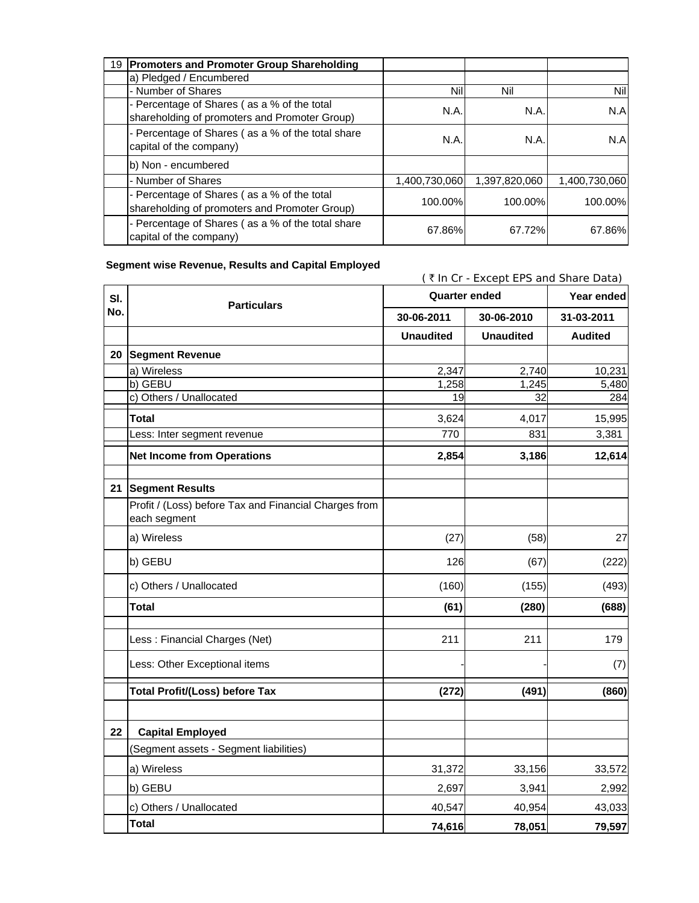| 19 Promoters and Promoter Group Shareholding                                                 |               |               |               |
|----------------------------------------------------------------------------------------------|---------------|---------------|---------------|
| a) Pledged / Encumbered                                                                      |               |               |               |
| - Number of Shares                                                                           | Nil           | Nil           | Nil           |
| - Percentage of Shares (as a % of the total<br>shareholding of promoters and Promoter Group) | N.A.          | N.A.          | N.A           |
| - Percentage of Shares (as a % of the total share<br>capital of the company)                 | N.A.          | N.A.          | N.A           |
| b) Non - encumbered                                                                          |               |               |               |
| - Number of Shares                                                                           | 1,400,730,060 | 1,397,820,060 | 1,400,730,060 |
| - Percentage of Shares (as a % of the total<br>shareholding of promoters and Promoter Group) | 100.00%       | 100.00%       | 100.00%       |
| - Percentage of Shares (as a % of the total share<br>capital of the company)                 | 67.86%        | 67.72%        | 67.86%        |

## **Segment wise Revenue, Results and Capital Employed**

(  $\bar{\tau}$  In Cr - Except EPS and Share Data) **Year ended 30-06-2011 30-06-2010 31-03-2011 Unaudited Unaudited Audited 20 Segment Revenue** a) Wireless 2,347 2,740 10,231 b) GEBU 1,258 1,245 5,480 c) Others / Unallocated 284 **Total** 3,624 4,017 15,995 Less: Inter segment revenue **62.281 and 770** 831 3,381 **Net Income from Operations 12,614** 2,854 3,186 2,854 3,186 3,186 2,614  **(1.00) (0.32) (0.51) 21 Segment Results** Profit / (Loss) before Tax and Financial Charges from each segment a) Wireless (27) (58) 27 b) GEBU 126 (67) (222) c) Others / Unallocated  $(160)$  (155) (493) **Total (61) (280) (688) (0.51)** 0.51  $\frac{1}{2}$  0.51  $\frac{1}{2}$  0.51  $\frac{1}{2}$  0.51  $\frac{1}{2}$  0.51  $\frac{1}{2}$  0.51  $\frac{1}{2}$  0.51  $\frac{1}{2}$  0.51  $\frac{1}{2}$  0.51  $\frac{1}{2}$  0.51  $\frac{1}{2}$  0.51  $\frac{1}{2}$  0.51  $\frac{1}{2}$  0.51  $\frac{1}{2}$  0.51  $\frac{1}{2}$  0.5 Less : Financial Charges (Net) 211 211 211 211 211 211 Less: Other Exceptional items (7) (2) The set of the set of the set of the set of the set of the set of the set of the set of the set of the set of the set of the set of the set of the set of the set of the set of the set **Total Profit/(Loss) before Tax (272) (491) (860) 0 0 (0.01) 22 Capital Employed** (Segment assets - Segment liabilities) a) Wireless 31,372 33,156 33,572 b) GEBU 2,697 3,941 2,992 c) Others / Unallocated 40,547 40,954 43,033 **Total 74,616 78,051 79,597 Sl. No. Quarter ended Particulars**